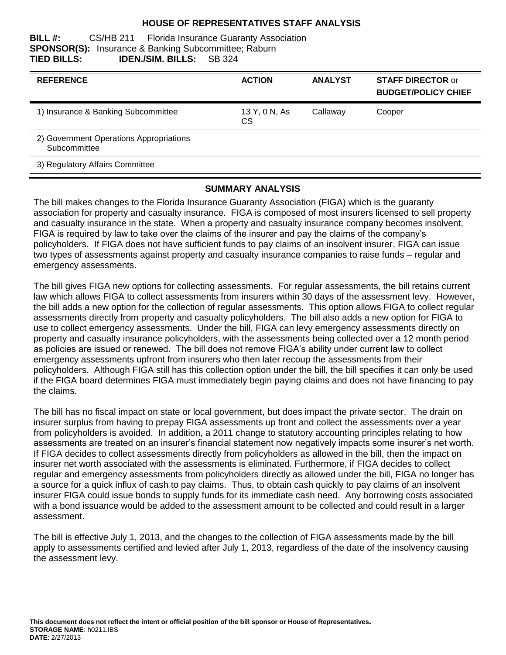#### **HOUSE OF REPRESENTATIVES STAFF ANALYSIS**

#### **BILL #:** CS/HB 211 Florida Insurance Guaranty Association **SPONSOR(S):** Insurance & Banking Subcommittee; Raburn **TIED BILLS: IDEN./SIM. BILLS:** SB 324

| <b>REFERENCE</b>                                        | <b>ACTION</b>       | <b>ANALYST</b> | <b>STAFF DIRECTOR or</b><br><b>BUDGET/POLICY CHIEF</b> |
|---------------------------------------------------------|---------------------|----------------|--------------------------------------------------------|
| 1) Insurance & Banking Subcommittee                     | 13 Y, 0 N, As<br>CS | Callaway       | Cooper                                                 |
| 2) Government Operations Appropriations<br>Subcommittee |                     |                |                                                        |
| 3) Regulatory Affairs Committee                         |                     |                |                                                        |

#### **SUMMARY ANALYSIS**

The bill makes changes to the Florida Insurance Guaranty Association (FIGA) which is the guaranty association for property and casualty insurance. FIGA is composed of most insurers licensed to sell property and casualty insurance in the state. When a property and casualty insurance company becomes insolvent, FIGA is required by law to take over the claims of the insurer and pay the claims of the company's policyholders. If FIGA does not have sufficient funds to pay claims of an insolvent insurer, FIGA can issue two types of assessments against property and casualty insurance companies to raise funds – regular and emergency assessments.

The bill gives FIGA new options for collecting assessments. For regular assessments, the bill retains current law which allows FIGA to collect assessments from insurers within 30 days of the assessment levy. However, the bill adds a new option for the collection of regular assessments. This option allows FIGA to collect regular assessments directly from property and casualty policyholders. The bill also adds a new option for FIGA to use to collect emergency assessments. Under the bill, FIGA can levy emergency assessments directly on property and casualty insurance policyholders, with the assessments being collected over a 12 month period as policies are issued or renewed. The bill does not remove FIGA's ability under current law to collect emergency assessments upfront from insurers who then later recoup the assessments from their policyholders. Although FIGA still has this collection option under the bill, the bill specifies it can only be used if the FIGA board determines FIGA must immediately begin paying claims and does not have financing to pay the claims.

The bill has no fiscal impact on state or local government, but does impact the private sector. The drain on insurer surplus from having to prepay FIGA assessments up front and collect the assessments over a year from policyholders is avoided. In addition, a 2011 change to statutory accounting principles relating to how assessments are treated on an insurer's financial statement now negatively impacts some insurer's net worth. If FIGA decides to collect assessments directly from policyholders as allowed in the bill, then the impact on insurer net worth associated with the assessments is eliminated. Furthermore, if FIGA decides to collect regular and emergency assessments from policyholders directly as allowed under the bill, FIGA no longer has a source for a quick influx of cash to pay claims. Thus, to obtain cash quickly to pay claims of an insolvent insurer FIGA could issue bonds to supply funds for its immediate cash need. Any borrowing costs associated with a bond issuance would be added to the assessment amount to be collected and could result in a larger assessment.

The bill is effective July 1, 2013, and the changes to the collection of FIGA assessments made by the bill apply to assessments certified and levied after July 1, 2013, regardless of the date of the insolvency causing the assessment levy.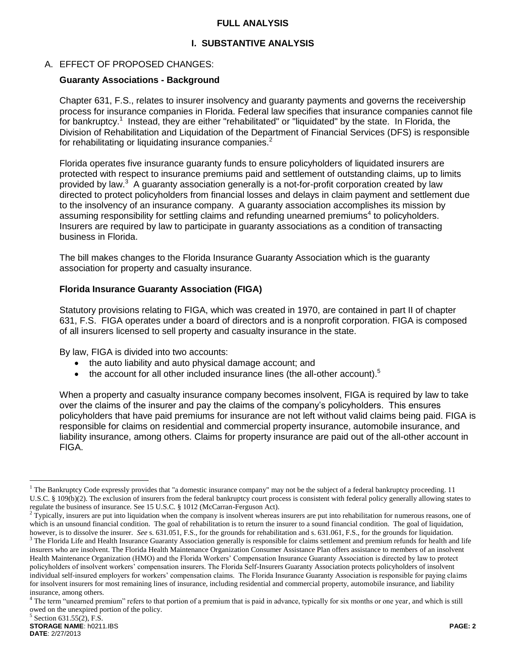#### **FULL ANALYSIS**

### **I. SUBSTANTIVE ANALYSIS**

### A. EFFECT OF PROPOSED CHANGES:

#### **Guaranty Associations - Background**

Chapter 631, F.S., relates to insurer insolvency and guaranty payments and governs the receivership process for insurance companies in Florida. Federal law specifies that insurance companies cannot file for bankruptcy.<sup>1</sup> Instead, they are either "rehabilitated" or "liquidated" by the state. In Florida, the Division of Rehabilitation and Liquidation of the Department of Financial Services (DFS) is responsible for rehabilitating or liquidating insurance companies. $2$ 

Florida operates five insurance guaranty funds to ensure policyholders of liquidated insurers are protected with respect to insurance premiums paid and settlement of outstanding claims, up to limits provided by law.<sup>3</sup> A guaranty association generally is a not-for-profit corporation created by law directed to protect policyholders from financial losses and delays in claim payment and settlement due to the insolvency of an insurance company. A guaranty association accomplishes its mission by assuming responsibility for settling claims and refunding unearned premiums<sup>4</sup> to policyholders. Insurers are required by law to participate in guaranty associations as a condition of transacting business in Florida.

The bill makes changes to the Florida Insurance Guaranty Association which is the guaranty association for property and casualty insurance.

### **Florida Insurance Guaranty Association (FIGA)**

Statutory provisions relating to FIGA, which was created in 1970, are contained in part II of chapter 631, F.S. FIGA operates under a board of directors and is a nonprofit corporation. FIGA is composed of all insurers licensed to sell property and casualty insurance in the state.

By law, FIGA is divided into two accounts:

- the auto liability and auto physical damage account; and
- $\bullet$  the account for all other included insurance lines (the all-other account).<sup>5</sup>

When a property and casualty insurance company becomes insolvent, FIGA is required by law to take over the claims of the insurer and pay the claims of the company's policyholders. This ensures policyholders that have paid premiums for insurance are not left without valid claims being paid. FIGA is responsible for claims on residential and commercial property insurance, automobile insurance, and liability insurance, among others. Claims for property insurance are paid out of the all-other account in FIGA.

 $\overline{a}$ 

 $<sup>1</sup>$  The Bankruptcy Code expressly provides that "a domestic insurance company" may not be the subject of a federal bankruptcy proceeding. 11</sup> U.S.C. § 109(b)(2). The exclusion of insurers from the federal bankruptcy court process is consistent with federal policy generally allowing states to regulate the business of insurance. See 15 U.S.C. § 1012 (McCarran-Ferguson Act).

 $2$  Typically, insurers are put into liquidation when the company is insolvent whereas insurers are put into rehabilitation for numerous reasons, one of which is an unsound financial condition. The goal of rehabilitation is to return the insurer to a sound financial condition. The goal of liquidation, however, is to dissolve the insurer. *See* s. 631.051, F.S., for the grounds for rehabilitation and s. 631.061, F.S., for the grounds for liquidation.

 $3$  The Florida Life and Health Insurance Guaranty Association generally is responsible for claims settlement and premium refunds for health and life insurers who are insolvent. The Florida Health Maintenance Organization Consumer Assistance Plan offers assistance to members of an insolvent Health Maintenance Organization (HMO) and the Florida Workers' Compensation Insurance Guaranty Association is directed by law to protect policyholders of insolvent workers' compensation insurers. The Florida Self-Insurers Guaranty Association protects policyholders of insolvent individual self-insured employers for workers' compensation claims. The Florida Insurance Guaranty Association is responsible for paying claims for insolvent insurers for most remaining lines of insurance, including residential and commercial property, automobile insurance, and liability insurance, among others.

<sup>&</sup>lt;sup>4</sup> The term "unearned premium" refers to that portion of a premium that is paid in advance, typically for six months or one year, and which is still owed on the unexpired portion of the policy.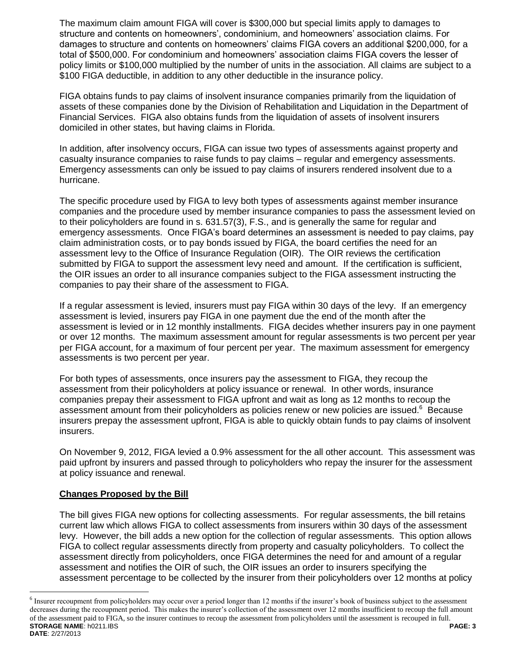The maximum claim amount FIGA will cover is \$300,000 but special limits apply to damages to structure and contents on homeowners', condominium, and homeowners' association claims. For damages to structure and contents on homeowners' claims FIGA covers an additional \$200,000, for a total of \$500,000. For condominium and homeowners' association claims FIGA covers the lesser of policy limits or \$100,000 multiplied by the number of units in the association. All claims are subject to a \$100 FIGA deductible, in addition to any other deductible in the insurance policy.

FIGA obtains funds to pay claims of insolvent insurance companies primarily from the liquidation of assets of these companies done by the Division of Rehabilitation and Liquidation in the Department of Financial Services. FIGA also obtains funds from the liquidation of assets of insolvent insurers domiciled in other states, but having claims in Florida.

In addition, after insolvency occurs, FIGA can issue two types of assessments against property and casualty insurance companies to raise funds to pay claims – regular and emergency assessments. Emergency assessments can only be issued to pay claims of insurers rendered insolvent due to a hurricane.

The specific procedure used by FIGA to levy both types of assessments against member insurance companies and the procedure used by member insurance companies to pass the assessment levied on to their policyholders are found in s. 631.57(3), F.S., and is generally the same for regular and emergency assessments. Once FIGA's board determines an assessment is needed to pay claims, pay claim administration costs, or to pay bonds issued by FIGA, the board certifies the need for an assessment levy to the Office of Insurance Regulation (OIR). The OIR reviews the certification submitted by FIGA to support the assessment levy need and amount. If the certification is sufficient, the OIR issues an order to all insurance companies subject to the FIGA assessment instructing the companies to pay their share of the assessment to FIGA.

If a regular assessment is levied, insurers must pay FIGA within 30 days of the levy. If an emergency assessment is levied, insurers pay FIGA in one payment due the end of the month after the assessment is levied or in 12 monthly installments. FIGA decides whether insurers pay in one payment or over 12 months. The maximum assessment amount for regular assessments is two percent per year per FIGA account, for a maximum of four percent per year. The maximum assessment for emergency assessments is two percent per year.

For both types of assessments, once insurers pay the assessment to FIGA, they recoup the assessment from their policyholders at policy issuance or renewal. In other words, insurance companies prepay their assessment to FIGA upfront and wait as long as 12 months to recoup the assessment amount from their policyholders as policies renew or new policies are issued.<sup>6</sup> Because insurers prepay the assessment upfront, FIGA is able to quickly obtain funds to pay claims of insolvent insurers.

On November 9, 2012, FIGA levied a 0.9% assessment for the all other account. This assessment was paid upfront by insurers and passed through to policyholders who repay the insurer for the assessment at policy issuance and renewal.

# **Changes Proposed by the Bill**

 $\overline{a}$ 

The bill gives FIGA new options for collecting assessments. For regular assessments, the bill retains current law which allows FIGA to collect assessments from insurers within 30 days of the assessment levy. However, the bill adds a new option for the collection of regular assessments. This option allows FIGA to collect regular assessments directly from property and casualty policyholders. To collect the assessment directly from policyholders, once FIGA determines the need for and amount of a regular assessment and notifies the OIR of such, the OIR issues an order to insurers specifying the assessment percentage to be collected by the insurer from their policyholders over 12 months at policy

**STORAGE NAME**: h0211.IBS **PAGE: 3 DATE**: 2/27/2013  $6$  Insurer recoupment from policyholders may occur over a period longer than 12 months if the insurer's book of business subject to the assessment decreases during the recoupment period. This makes the insurer's collection of the assessment over 12 months insufficient to recoup the full amount of the assessment paid to FIGA, so the insurer continues to recoup the assessment from policyholders until the assessment is recouped in full.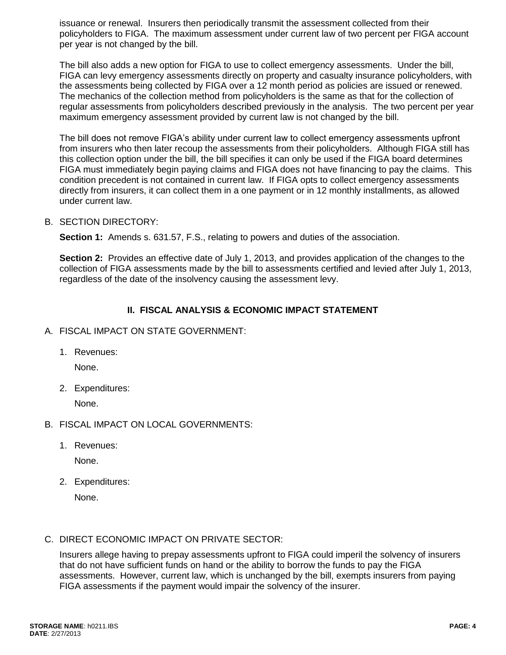issuance or renewal. Insurers then periodically transmit the assessment collected from their policyholders to FIGA. The maximum assessment under current law of two percent per FIGA account per year is not changed by the bill.

The bill also adds a new option for FIGA to use to collect emergency assessments. Under the bill, FIGA can levy emergency assessments directly on property and casualty insurance policyholders, with the assessments being collected by FIGA over a 12 month period as policies are issued or renewed. The mechanics of the collection method from policyholders is the same as that for the collection of regular assessments from policyholders described previously in the analysis. The two percent per year maximum emergency assessment provided by current law is not changed by the bill.

The bill does not remove FIGA's ability under current law to collect emergency assessments upfront from insurers who then later recoup the assessments from their policyholders. Although FIGA still has this collection option under the bill, the bill specifies it can only be used if the FIGA board determines FIGA must immediately begin paying claims and FIGA does not have financing to pay the claims. This condition precedent is not contained in current law. If FIGA opts to collect emergency assessments directly from insurers, it can collect them in a one payment or in 12 monthly installments, as allowed under current law.

### B. SECTION DIRECTORY:

**Section 1:** Amends s. 631.57, F.S., relating to powers and duties of the association.

**Section 2:** Provides an effective date of July 1, 2013, and provides application of the changes to the collection of FIGA assessments made by the bill to assessments certified and levied after July 1, 2013, regardless of the date of the insolvency causing the assessment levy.

# **II. FISCAL ANALYSIS & ECONOMIC IMPACT STATEMENT**

- A. FISCAL IMPACT ON STATE GOVERNMENT:
	- 1. Revenues:

None.

2. Expenditures:

None.

# B. FISCAL IMPACT ON LOCAL GOVERNMENTS:

1. Revenues:

None.

2. Expenditures:

None.

# C. DIRECT ECONOMIC IMPACT ON PRIVATE SECTOR:

Insurers allege having to prepay assessments upfront to FIGA could imperil the solvency of insurers that do not have sufficient funds on hand or the ability to borrow the funds to pay the FIGA assessments. However, current law, which is unchanged by the bill, exempts insurers from paying FIGA assessments if the payment would impair the solvency of the insurer.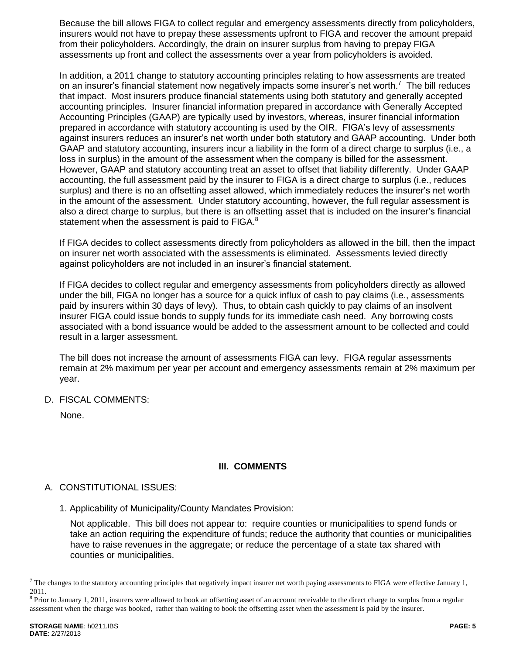Because the bill allows FIGA to collect regular and emergency assessments directly from policyholders, insurers would not have to prepay these assessments upfront to FIGA and recover the amount prepaid from their policyholders. Accordingly, the drain on insurer surplus from having to prepay FIGA assessments up front and collect the assessments over a year from policyholders is avoided.

In addition, a 2011 change to statutory accounting principles relating to how assessments are treated on an insurer's financial statement now negatively impacts some insurer's net worth.<sup>7</sup> The bill reduces that impact. Most insurers produce financial statements using both statutory and generally accepted accounting principles. Insurer financial information prepared in accordance with Generally Accepted Accounting Principles (GAAP) are typically used by investors, whereas, insurer financial information prepared in accordance with statutory accounting is used by the OIR. FIGA's levy of assessment*s*  against insurers reduces an insurer's net worth under both statutory and GAAP accounting.Under both GAAP and statutory accounting, insurers incur a liability in the form of a direct charge to surplus (i.e., a loss in surplus) in the amount of the assessment when the company is billed for the assessment. However, GAAP and statutory accounting treat an asset to offset that liability differently. Under GAAP accounting, the full assessment paid by the insurer to FIGA is a direct charge to surplus (i.e., reduces surplus) and there is no an offsetting asset allowed, which immediately reduces the insurer's net worth in the amount of the assessment. Under statutory accounting, however, the full regular assessment is also a direct charge to surplus, but there is an offsetting asset that is included on the insurer's financial statement when the assessment is paid to FIGA. $8$ 

If FIGA decides to collect assessments directly from policyholders as allowed in the bill, then the impact on insurer net worth associated with the assessments is eliminated. Assessments levied directly against policyholders are not included in an insurer's financial statement.

If FIGA decides to collect regular and emergency assessments from policyholders directly as allowed under the bill, FIGA no longer has a source for a quick influx of cash to pay claims (i.e., assessments paid by insurers within 30 days of levy). Thus, to obtain cash quickly to pay claims of an insolvent insurer FIGA could issue bonds to supply funds for its immediate cash need. Any borrowing costs associated with a bond issuance would be added to the assessment amount to be collected and could result in a larger assessment.

The bill does not increase the amount of assessments FIGA can levy. FIGA regular assessments remain at 2% maximum per year per account and emergency assessments remain at 2% maximum per year.

D. FISCAL COMMENTS:

None.

# **III. COMMENTS**

# A. CONSTITUTIONAL ISSUES:

1. Applicability of Municipality/County Mandates Provision:

Not applicable. This bill does not appear to: require counties or municipalities to spend funds or take an action requiring the expenditure of funds; reduce the authority that counties or municipalities have to raise revenues in the aggregate; or reduce the percentage of a state tax shared with counties or municipalities.

 $\overline{a}$ 

 $^7$  The changes to the statutory accounting principles that negatively impact insurer net worth paying assessments to FIGA were effective January 1, 2011.

 $8$  Prior to January 1, 2011, insurers were allowed to book an offsetting asset of an account receivable to the direct charge to surplus from a regular assessment when the charge was booked, rather than waiting to book the offsetting asset when the assessment is paid by the insurer.